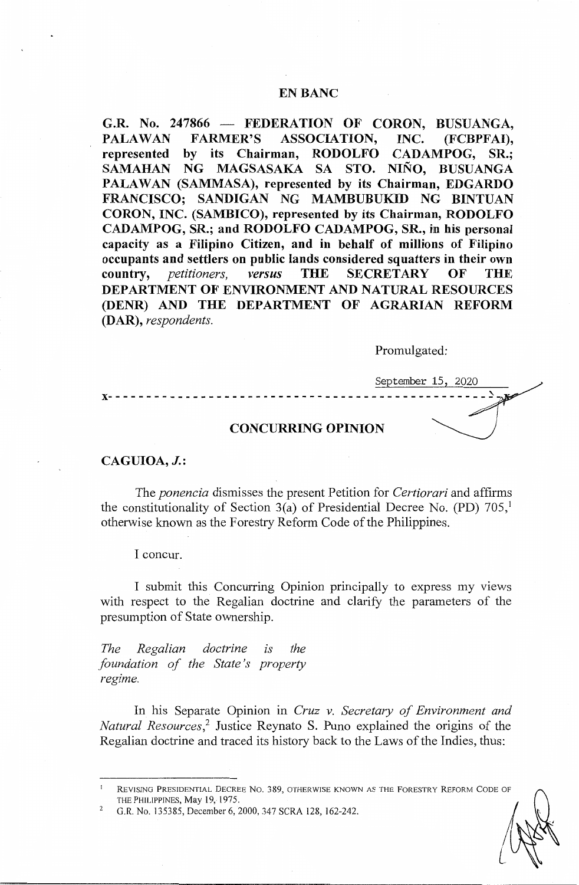# **ENBANC**

G.R. No. 247866 - FEDERATION OF CORON, BUSUANGA, **PALAWAN FARMER'S ASSOCIATION, INC. (FCBPFAI), represented by its Chairman, RODOLFO CADAMPOG, SR.; SAMAHAN NG MAGSASAKA SA STO. NINO, BUSUANGA PALA WAN (SAMMASA), represented by its Chairman, EDGARDO FRANCISCO; SANDIGAN NG MAMBUBUKID NG BINTUAN CORON, INC. (SAMBICO), represented by its Chairman, RODOLFO CADAMPOG, SR.; and RODOLFO CADAMPOG, SR.,** in **his personal capacity as a Filipino Citizen, and in behalf of millions of Filipino occupants and settlers on public lands considered squatters in their own country,** *petitioners, versus* **THE SECRETARY OF THE DEPARTMENT OF ENVIRONMENT AND NATURAL RESOURCES (DENR) AND THE DEPARTMENT OF AGRARIAN REFORM (DAR),** *respondents.* 

Promulgated:

September 15, 2020 **x-** - - - - - - - - - - - - - - - - - - - - - - - - - - - - - - - - - - - - - - - - - - - - - - - - ~-

# **CONCURRING OPINION**

## **CAGUIOA, J.:**

The *ponencia* dismisses the present Petition for *Certiorari* and affirms the constitutionality of Section 3(a) of Presidential Decree No. (PD)  $705<sup>1</sup>$ otherwise known as the Forestry Reform Code of the Philippines.

I concur.

I submit this Concurring Opinion principally to express my views with respect to the Regalian doctrine and clarify the parameters of the presumption of State ownership.

*The Regalian doctrine is the foundation of the State's property regime.* 

In his Separate Opinion in *Cruz* v. *Secretary of Environment and Natural Resources,2* Justice Reynato S. Puno explained the origins of the Regalian doctrine and traced its history back to the Laws of the Indies, thus:

REVISING PRESIDENTIAL DECREE NO. 389, OTHERWISE KNOWN AS THE FORESTRY REFORM CODE OF THE PHILIPPINES, May 19, 1975.

<sup>2</sup>G.R. No. 135385, December 6, 2000, 347 SCRA 128, 162-242.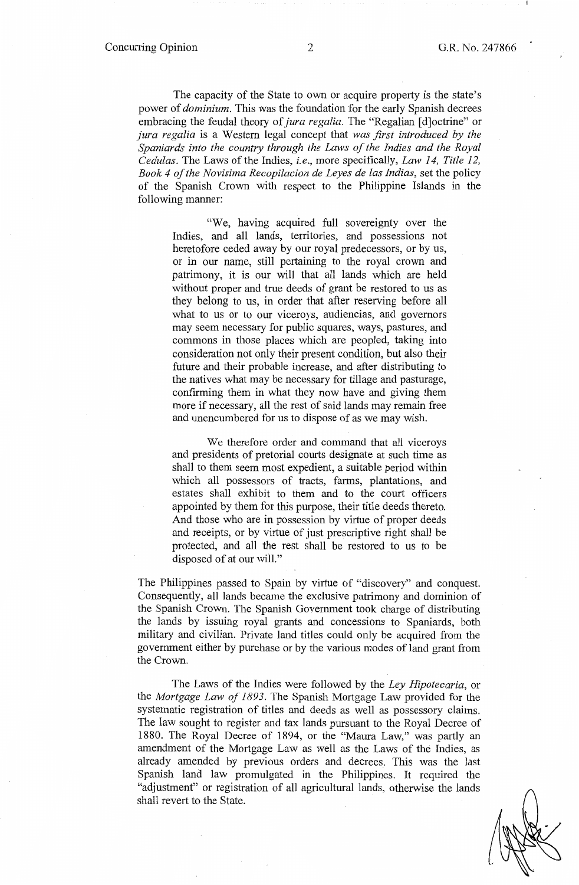The capacity of the State to own or acquire property is the state's power of *dominium.* This was the foundation for the early Spanish decrees embracing the feudal theory of *jura regalia*. The "Regalian [d]octrine" or *Jura regalia* is a Western legal concept that *was first introduced by the Spaniards into the country through the Laws of the Indies and the Royal Cedulas.* The Laws of the Indies, *i.e.,* more specifically, *Law 14, Title 12, Book 4 of the Novisima Recopilacion de Leyes de las Jndias,* set the policy of the Spanish Crown with respect to the Philippine Islands in the following manner:

> "We, having acquired full sovereignty over the Indies, and all lands, territories, and possessions not heretofore ceded away by our royal predecessors, or by us, or in our name, still pertaining to the royal crown and patrimony, it is our will that all lands which are held without proper and true deeds of grant be restored to us as they belong to us, in order that after reserving before all what to us or to our viceroys, audiencias, and governors may seem necessary for public squares, ways, pastures, and commons in those places which are peopled, taking into consideration not only their present condition, but also their future and their probable increase, and after distributing to the natives what may be necessary for tillage and pasturage, confirming them in what they now have and giving them more if necessary, all the rest of said lands may remain free and unencumbered for us to dispose of as we may wish.

> We therefore order and command that all viceroys and presidents of pretorial courts designate at such time as shall to them seem most expedient, a suitable period within which all possessors of tracts, farms, plantations, and estates shall exhibit to them and to the court officers appointed by them for this purpose, their title deeds thereto. And those who are in possession by virtue of proper deeds and receipts, or by virtue of just prescriptive right shall be protected, and all the rest shall be restored to us to be disposed of at our will."

The Philippines passed to Spain by virtue of "discovery" and conquest. Consequently, all lands became the exclusive patrimony and dominion of the Spanish Crown. The Spanish Government took charge of distributing the lands by issuing royal grants and concessions to Spaniards, both military and civilian. Private land titles could only be acquired from the government either by purchase or by the various modes of land grant from the Crown.

The Laws of the Indies were followed by the *Ley Hipotecaria,* or the *Mortgage Law of 1893.* The Spanish Mortgage Law provided for the systematic registration of titles and deeds as well as possessory claims. The law sought to register and tax lands pursuant to the Royal Decree of 1880. The Royal Decree of 1894, or the "Maura Law," was partly an amendment of the Mortgage Law as well as the Laws of the Indies, as already amended by previous orders and decrees. This was the last Spanish land law promulgated in the Philippines. It required the "adjustment" or registration of all agricultural lands, otherwise the lands shall revert to the State.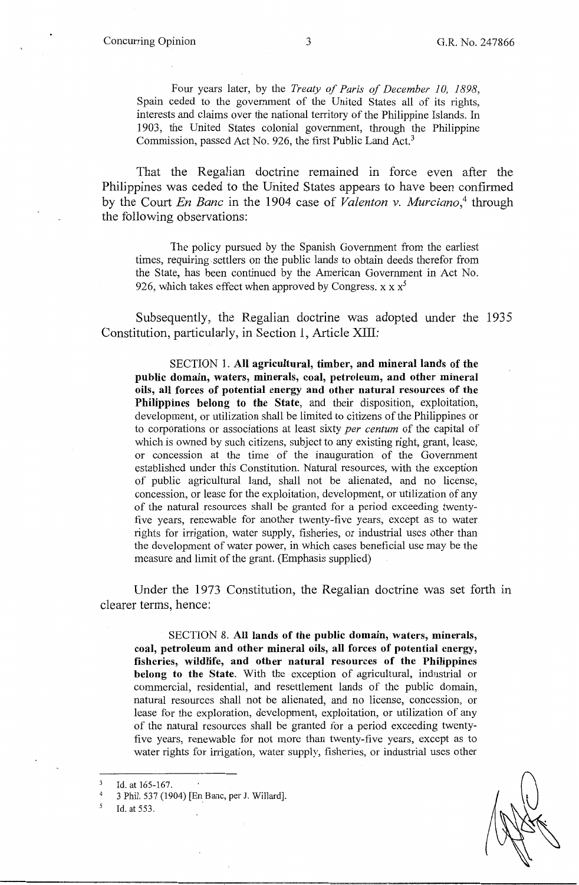### Concurring Opinion 3 G.R. No. 247866

Four years later, by the *Treaty of Paris of December 10, 1898,*  Spain ceded to the government of the United States all of its rights, interests and claims over the national territory of the Philippine Islands. In 1903, the United States colonial government, through the Philippine Commission, passed Act No. 926, the first Public Land Act.<sup>3</sup>

That the Regalian doctrine remained in force even after the Philippines was ceded to the United States appears to have been confirmed by the Court *En Banc* in the 1904 case of *Valenton v. Murciano,*<sup>4</sup>through the following observations:

The policy pursued by the Spanish Government from the earliest times, requiring settlers on the public lands to obtain deeds therefor from the State, has been continued by the American Government in Act No. 926, which takes effect when approved by Congress.  $x \times x^5$ 

Subsequently, the Regalian doctrine was adopted under the 1935 Constitution, particularly, in Section 1, Article XIII:

SECTION 1. **All agricultural, timber, and mineral lands of the public domain, waters, minerals, coal, petroleum, and other mineral oils, all forces of potential energy and other natural resources of the Philippines belong to the State,** and their disposition, exploitation, development, or utilization shall be limited to citizens of the Philippines or to corporations or associations at least sixty *per centum* of the capital of which is owned by such citizens, subject to any existing right, grant, lease, or concession at the time of the inauguration of the Govermnent established under this Constitution. Natural resources, with the exception of public agricultural land, shall not be alienated, and no license, concession, or lease for the exploitation, development, or utilization of any of the natural resources shall be granted for a period exceeding twentyfive years, renewable for another twenty-five years, except as to water rights for irrigation, water supply, fisheries, or industrial uses other than the development of water power, in which cases beneficial use may be the measure and limit of the grant. (Emphasis supplied)

Under the 1973 Constitution, the Regalian doctrine was set forth in clearer terms, hence:

SECTION 8. **All lands of the public domain, waters, minerals, coal, petroleum and other mineral oils, all forces of potential energy, fisheries, wildlife, and other natural resources of the Philippines belong to the State.** With the exception of agricultural, industrial or commercial, residential, and resettlement lands of the public domain, natural resources shall not be alienated, and no license, concession, or lease for the exploration, development, exploitation, or utilization of any of the natural resources shall be granted for a period exceeding twentyfive years, renewable for not more than twenty-five years, except as to water rights for irrigation, water supply, fisheries, or industrial uses other

Id. at 553.

 $\overline{3}$ Id. at 165-167.

<sup>3</sup> Phil. 537 (1904) [En Banc, per J. Willard].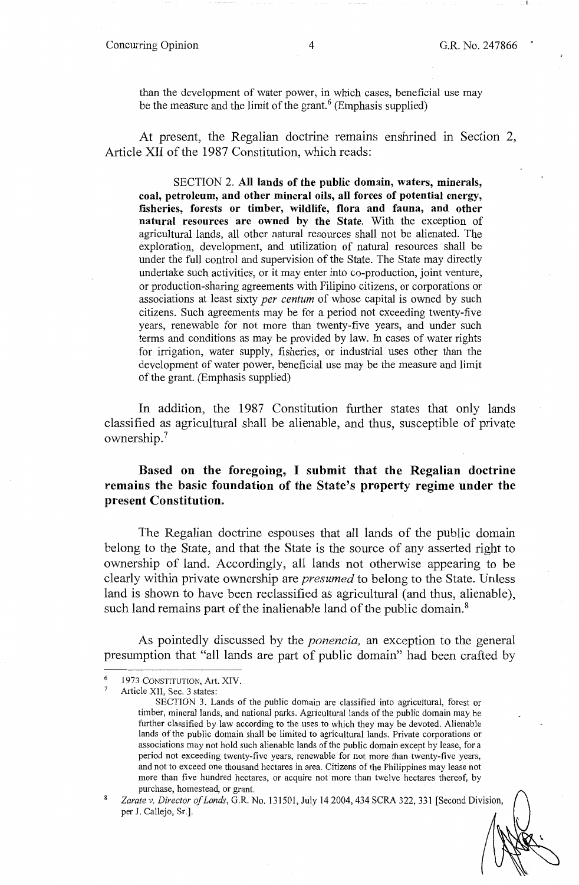### Concurring Opinion 4 G.R. No. 247866

than the development of water power, in which cases, beneficial use may be the measure and the limit of the grant.<sup>6</sup> (Emphasis supplied)

At present, the Regalian doctrine remains enshrined in Section 2, Article XII of the 1987 Constitution, which reads:

SECTION 2. **All lands of the public domain, waters, minerals, coal, petroleum, and other mineral oils, all forces of potential energy, fisheries, forests or timber, wildlife, flora and fauna, and other natural resources are owned by the State.** With the exception of agricultural lands, all other natural resources shall not be alienated. The exploration, development, and utilization of natural resources shall be under the full control and supervision of the State. The State may directly undertake such activities, or it may enter into co-production, joint venture, or production-sharing agreements with Filipino citizens, or corporations or associations at least sixty *per centum* of whose capital is owned by such citizens. Such agreements may be for a period not exceeding twenty-five years, renewable for not more than twenty-five years, and under such terms and conditions as may be provided by law. In cases of water rights for irrigation, water supply, fisheries, or industrial uses other than the development of water power, beneficial use may be the measure and limit of the grant. (Emphasis supplied)

In addition, the 1987 Constitution further states that only lands classified as agricultural shall be alienable, and thus, susceptible of private ownership.7

# **Based on the foregoing,** I **submit that the Regalian doctrine remains the basic foundation of the State's property regime under the present Constitution.**

The Regalian doctrine espouses that all lands of the public domain belong to the State, and that the State is the source of any asserted right to ownership of land. Accordingly, all lands not otherwise appearing to be clearly within private ownership are *presumed* to belong to the State. Unless land is shown to have been reclassified as agricultural (and thus, alienable), such land remains part of the inalienable land of the public domain.<sup>8</sup>

As pointedly discussed by the *ponencia,* an exception to the general presumption that "all lands are part of public domain" had been crafted by

*Zarate v. Director of Lands,* G.R. No. 131501, July 14 2004, 434 SCRA 322,331 [Second Division, per J. Callejo, Sr.].



<sup>6</sup>  1973 CONSTITUTION, Art. XIV.

<sup>7</sup>  Article XII, Sec. 3 states:

SECTION 3. Lands of the public domain are classified into agricultural, forest or timber, mineral lands, and national parks. Agricultural lands of the public domain may be further classified by law according to the uses to which they may be devoted. Alienable lands of the public domain shall be limited to agricultural lands. Private corporations or associations may not hold such alienable lands of the public domain except by lease, for a period not exceeding twenty-five years, renewable for not more than twenty-five years, and not to exceed one thousand hectares in area. Citizens of the Philippines may lease not more than five hundred hectares, or acquire not more than twelve hectares thereof, by purchase, homestead, or grant.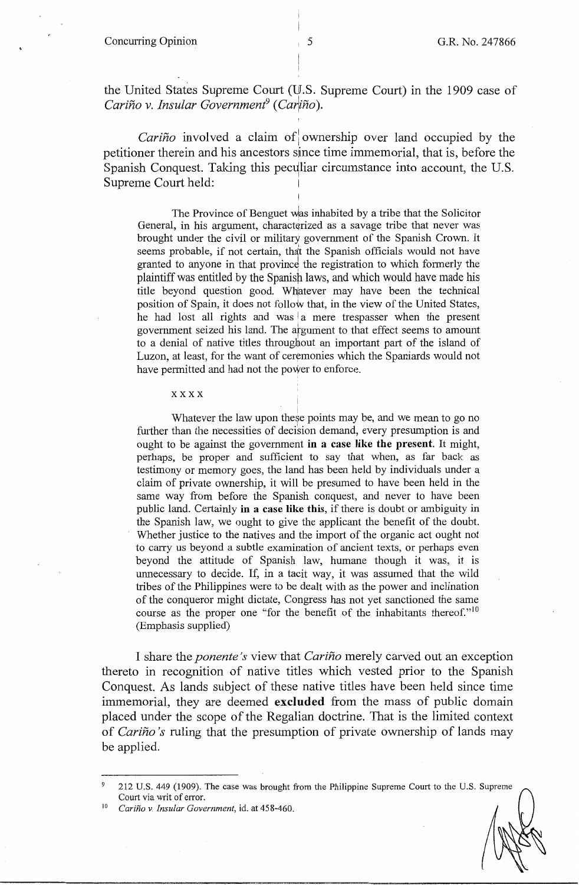the United States Supreme Court (U.S. Supreme Court) in the 1909 case of *Carino v. Insular Government*<sup>9</sup>( *Ca~ino* ).

*Cariño* involved a claim of ownership over land occupied by the petitioner therein and his ancestors since time immemorial, that is, before the Spanish Conquest. Taking this peculiar circumstance into account, the U.S. Supreme Court held: '

The Province of Benguet was inhabited by a tribe that the Solicitor General, in his argument, characterized as a savage tribe that never was brought under the civil or military government of the Spanish Crown. It seems probable, if not certain, that the Spanish officials would not have granted to anyone in that province the registration to which formerly the plaintiff was entitled by the Spanish laws, and which would have made his title beyond question good. Wblatever may have been the technical position of Spain, it does not follow that, in the view of the United States, he had lost all rights and was a mere trespasser when the present government seized his land. The argument to that effect seems to amount to a denial of native titles throughout an important part of the island of Luzon, at least, for the want of ceremonies which the Spaniards would not have permitted and had not the power to enforce.

### **xxxx**

Whatever the law upon these points may be, and we mean to go no further than the necessities of decision demand, every presumption is and ought to be against the government **in a case like the present.** It might, perhaps, be proper and sufficient to say that when, as far back as testimony or memory goes, the land has been held by individuals under a claim of private ownership, it will be presumed to have been held in the same way from before the Spanish conquest, and never to have been public land. Certainly in a case like this, if there is doubt or ambiguity in the Spanish law, we ought to give the applicant the benefit of the doubt. Whether justice to the natives and the import of the organic act ought not to carry us beyond a subtle examination of ancient texts, or perhaps even beyond the attitude of Spanish law, humane though it was, it is unnecessary to decide. If, in a tacit way, it was assumed that the wild tribes of the Philippines were to be dealt with as the power and inclination of the conqueror might dictate, Congress has not yet sanctioned the same course as the proper one "for the benefit of the inhabitants thereof."<sup>10</sup> (Emphasis supplied)

I share the *ponente 's* view that *Carino* merely carved out an exception thereto in recognition of native titles which vested prior to the Spanish Conquest. As lands subject of these native titles have been held since time immemorial, they are deemed **excluded** from the mass of public domain placed under the scope of the Regalian doctrine. That is the limited context of *Carino 's* ruling that the presumption of private ownership of lands may be applied.

<sup>9</sup>212 U.S. 449 (1909). The case was brought from the Philippine Supreme Court to the U.S. Supreme Court via writ of error. 1 ° *Carino v. Insular Government,* id. at 458-460.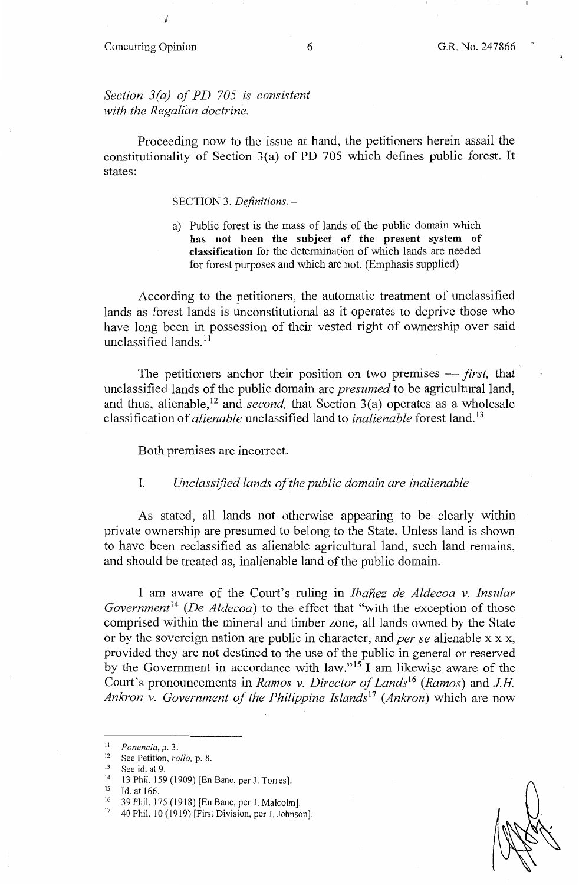### Concurring Opinion 6

J

*Section 3(a) of PD 705 is consistent with the Regalian doctrine.* 

Proceeding now to the issue at hand, the petitioners herein assail the constitutionality of Section 3(a) of PD 705 which defines public forest. It states:

SECTION 3. *Definitions.* -

a) Public forest is the mass of lands of the public domain which **has not been the subject of the present system of classification** for the determination of which lands are needed for forest purposes and which are not. (Emphasis supplied)

According to the petitioners, the automatic treatment of unclassified lands as forest lands is unconstitutional as it operates to deprive those who have long been in possession of their vested right of ownership over said unclassified lands. <sup>11</sup>

The petitioners anchor their position on two premises — *first*, that unclassified lands of the public domain are *presumed* to be agricultural land, and thus, alienable, 12 and *second,* that Section 3(a) operates as a wholesale classification of *alienable* unclassified land to *inalienable* forest land. <sup>13</sup>

Both premises are incorrect.

# I. *Unclassified lands of the public domain are inalienable*

As stated, all lands not otherwise appearing to be clearly within private ownership are presumed to belong to the State. Unless land is shown to have been reclassified as alienable agricultural land, such land remains, and should be treated as, inalienable land of the public domain.

I am aware of the Court's ruling in *Ibanez de Aldecoa v. Insular Government*<sup>14</sup> (*De Aldecoa*) to the effect that "with the exception of those comprised within the mineral and timber zone, all lands owned by the State or by the sovereign nation are public in character, and *per se* alienable x x x, provided they are not destined to the use of the public in general or reserved by the Government in accordance with law." 15 I am likewise aware of the Court's pronouncements in *Ramos v. Director of Lands*<sup>16</sup>*(Ramos)* and *JH Ankron v. Government of the Philippine Islands* <sup>17</sup>*(Ankron)* which are now

<sup>&</sup>lt;sup>11</sup> *Ponencia*, p. 3.<br><sup>12</sup> See Petition. *ro* 

<sup>&</sup>lt;sup>12</sup> See Petition, *rollo*, p. 8.<br><sup>13</sup> See id. at 9.<br><sup>14</sup> 13 Phil. 159 (1909) [En Banc, per J. Torres].<br><sup>15</sup> Id. at 166

<sup>&</sup>lt;sup>15</sup> Id. at 166.<br><sup>16</sup> 39 Phil. 175 (1918) [En Banc, per J. Malcolm].<br><sup>17</sup> 40 Phil. 10 (1919) [First Division, per J. Johnson].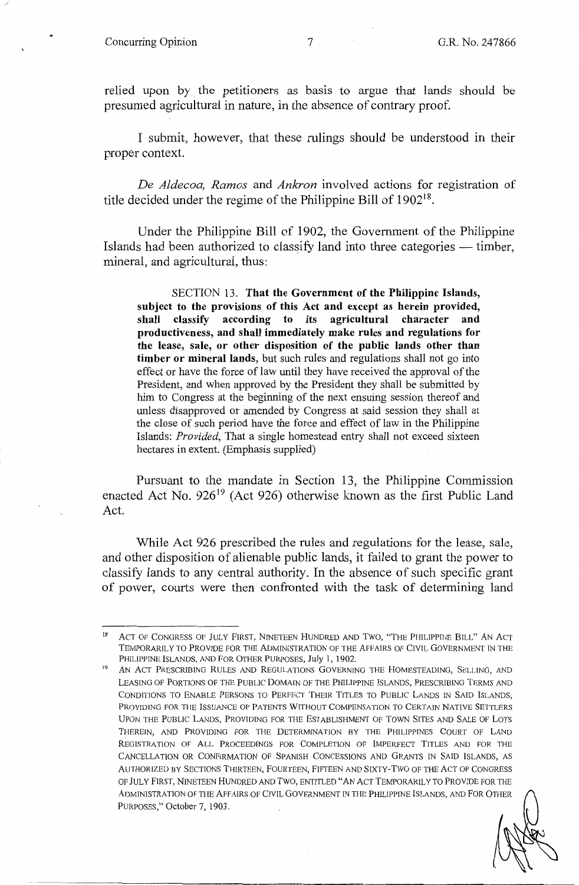### Concurring Opinion 7 G.R. No. 247866

relied upon by the petitioners as basis to argue that lands should be presumed agricultural in nature, in the absence of contrary proof.

I submit, however, that these rulings should be understood in their proper context.

*De Aldecoa, Ramos* and *Ankron* involved actions for registration of title decided under the regime of the Philippine Bill of  $1902^{18}$ .

Under the Philippine Bill of 1902, the Government of the Philippine Islands had been authorized to classify land into three categories — timber, mineral, and agricultural, thus:

SECTION 13. **That the Government of the Philippine Islands, subject to the provisions of this Act and except as herein provided, shall classify according to its agricultural character and productiveness, and shall immediately make rules and regulations for the lease, sale, or other disposition of the public lands other than timber or mineral lands,** but such rules and regulations shall not go into effect or have the force of law until they have received the approval of the President, and when approved by the President they shall be submitted by him to Congress at the beginning of the next ensuing session thereof and unless disapproved or amended by Congress at said session they shall at the close of such period have the force and effect of law in the Philippine Islands: *Provided,* That a single homestead entry shall not exceed sixteen hectares in extent. (Emphasis supplied)

Pursuant to the mandate in Section 13, the Philippine Commission enacted Act No.  $926^{19}$  (Act 926) otherwise known as the first Public Land Act.

While Act 926 prescribed the rules and regulations for the lease, sale, and other disposition of alienable public lands, it failed to grant the power to classify lands to any central authority. In the absence of such specific grant of power, courts were then confronted with the task of determining land

ACT OF CONGRESS OF JULY FIRST, NINETEEN HUNDRED AND TWO, "THE PHILIPPINE BILL" AN ACT TEMPORARILY TO PROVIDE FOR THE ADMINISTRATION OF THE AFFAIRS OF CIVIL GOVERNMENT IN THE PHILIPPINE ISLANDS, AND FOR OTHER PURPOSES, July 1, 1902.

<sup>&</sup>lt;sup>19</sup> AN ACT PRESCRIBING RULES AND REGULATIONS GOVERNING THE HOMESTEADING, SELLING, AND LEASING OF PORTIONS OF THE PUBLIC DOMAIN OF THE PHILIPPINE ISLANDS, PRESCRIBING TERMS AND CONDITIONS TO ENABLE PERSONS TO PERFECT THEIR TITLES TO PUBLIC LANDS IN SAID ISLANDS, PROVIDING FOR THE ISSUANCE OF PATENTS WITHOUT COMPENSATION TO CERTAIN NATIVE SETTLERS UPON THE PUBLIC LANDS, PROVIDING FOR THE ESTABLISHMENT OF TOWN SITES AND SALE OF LOTS THEREIN, AND PROVIDING FOR THE DETERMINATION BY THE PHILIPPINES COURT OF LAND REGISTRATION OF ALL PROCEEDINGS FOR COMPLETION OF IMPERFECT TITLES AND FOR THE CANCELLATION OR CONFIRMATION OF SPANISH CONCESSIONS AND GRANTS IN SAID ISLANDS, AS AUTHORIZED BY SECTIONS THIRTEEN, FOURTEEN, FIFTEEN AND SIXTY-TWO OF THE ACT OF CONGRESS OF JULY FIRST, NINETEEN HUNDRED AND TWO, ENTITLED "AN ACT TEMPORARILY TO PROVIDE FOR THE ADMINISTRATION OF THE AFFAIRS OF CIVIL GOVERNMENT IN THE PHILIPPINE ISLANDS, AND FOR OTHER PURPOSES," October 7, 1903.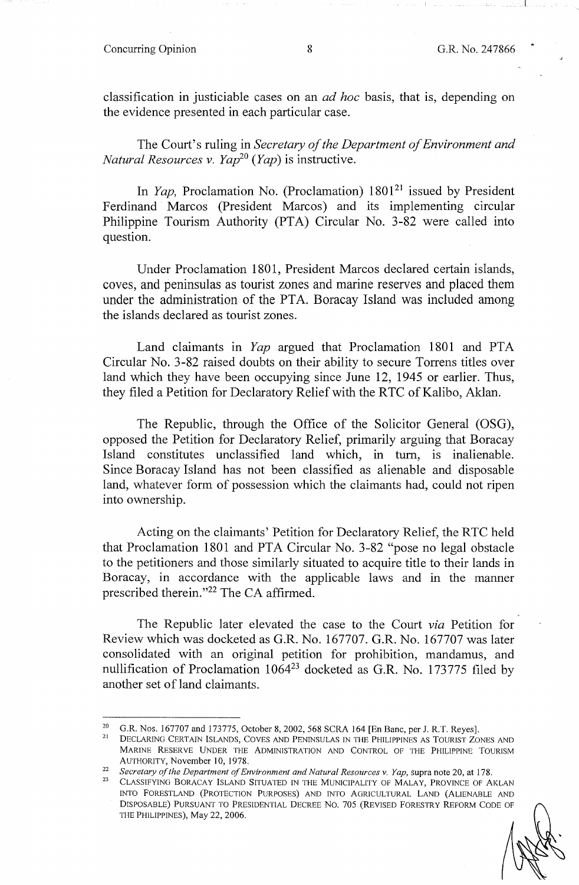## Concurring Opinion 8 G.R. No. 247866

classification in justiciable cases on an *ad hoc* basis, that is, depending on the evidence presented in each particular case.

The Court's ruling in *Secretary of the Department of Environment and Natural Resources v. Yap20 (Yap)* is instructive.

In *Yap*, Proclamation No. (Proclamation) 1801<sup>21</sup> issued by President Ferdinand Marcos (President Marcos) and its implementing circular Philippine Tourism Authority (PTA) Circular No. 3-82 were called into question.

Under Proclamation 1801, President Marcos declared certain islands, coves, and peninsulas as tourist zones and marine reserves and placed them under the administration of the PTA. Boracay Island was included among the islands declared as tourist zones.

Land claimants in *Yap* argued that Proclamation 1801 and PTA Circular No. 3-82 raised doubts on their ability to secure Torrens titles over land which they have been occupying since June 12, 1945 or earlier. Thus, they filed a Petition for Declaratory Relief with the RTC of Kalibo, Aklan.

The Republic, through the Office of the Solicitor General (OSG), opposed the Petition for Declaratory Relief, primarily arguing that Boracay Island constitutes unclassified land which, in tum, is inalienable. Since Boracay Island has not been classified as alienable and disposable land, whatever form of possession which the claimants had, could not ripen into ownership.

Acting on the claimants' Petition for Declaratory Relief, the RTC held that Proclamation 1801 and PTA Circular No. 3-82 "pose no legal obstacle to the petitioners and those similarly situated to acquire title to their lands in Boracay, in accordance with the applicable laws and in the manner prescribed therein."<sup>22</sup> The CA affirmed.

The Republic later elevated the case to the Court *via* Petition for Review which was docketed as G.R. No. 167707. G.R. No. 167707 was later consolidated with an original petition for prohibition, mandamus, and nullification of Proclamation  $1064^{23}$  docketed as G.R. No. 173775 filed by another set of land claimants.

<sup>&</sup>lt;sup>20</sup> G.R. Nos. 167707 and 173775, October 8, 2002, 568 SCRA 164 [En Banc, per J. R.T. Reyes].<br><sup>21</sup> DECLARING CERTAIN ISLANDS, COVES AND PENINSULAS IN THE PHILIPPINES AS TOURIST ZONES AND

MARINE RESERVE UNDER THE ADMINISTRATION AND CONTROL OF THE PHILIPPINE TOURISM AUTHORITY, November 10, 1978.<br><sup>22</sup> *Secretary of the Department of Environment and Natural Resources v. Yap,* supra note 20, at 178.<br><sup>23</sup> CLASSIFYING BORACAY ISLAND SITUATED IN THE MUNICIPALITY OF MALAY, PROVINCE OF AKLAN

INTO FORESTLAND (PROTECTION PURPOSES) AND INTO AGRICULTURAL LAND (ALIENABLE AND DISPOSABLE) PURSUANT TO PRESIDENTIAL DECREE No. 705 (REVISED FORESTRY REFORM CODE OF THE PHILIPPINES), May 22, 2006.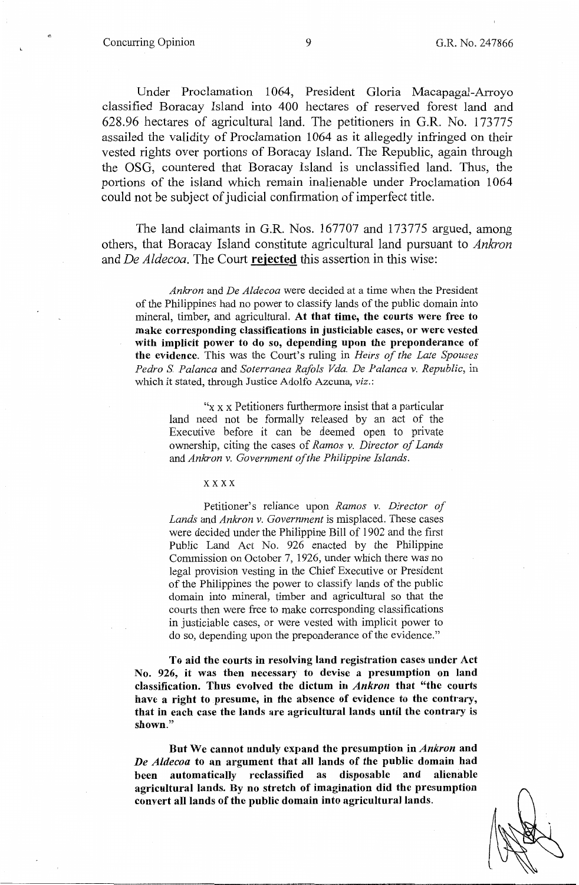Under Proclamation 1064, President Gloria Macapagal-Arroyo classified Boracay Island into 400 hectares of reserved forest land and 628.96 hectares of agricultural land. The petitioners in G.R. No. 173775 assailed the validity of Proclamation 1064 as it allegedly infringed on their vested rights over portions of Boracay Island. The Republic, again through the OSG, countered that Boracay Island is unclassified land. Thus, the portions of the island which remain inalienable under Proclamation 1064 could not be subject of judicial confirmation of imperfect title.

The land claimants in G.R. Nos. 167707 and 173775 argued, among others, that Boracay Island constitute agricultural land pursuant to *Ankron*  and *De Aldecoa.* The Court **reiected** this assertion in this wise:

*Ankron* and *De Aldecoa* were decided at a time when the President of the Philippines had no power to classify lands of the public domain into mineral, timber, and agricultural. At that time, the courts were free to **make corresponding classifications in justiciable cases, or were vested with implicit power to do so, depending upon the preponderance of the evidence.** This was the Court's ruling in *Heirs of the Late Spouses Pedro* S. *Palanca* and *Soterranea Rafols Vda. De Palanca v. Republic,* in which it stated, through Justice Adolfo Azcuna, *viz.:* 

"x x x Petitioners furthermore insist that a particular land need not be formally released by an act of the Executive before it can be deemed open to private ownership, citing the cases of *Ramos v. Director of Lands*  and Ankron v. Government of the Philippine Islands.

### xxxx

Petitioner's reliance upon *Ramos v. Director of Lands* and *Ankron v. Government* is misplaced. These cases were decided under the Philippine Bill of 1902 and the first Public Land Act No. 926 enacted by the Philippine Commission on October 7, 1926, under which there was no legal provision vesting in the Chief Executive or President of the Philippines the power to classify lands of the public domain into mineral, timber and agricultural so that the courts then were free to make corresponding classifications in justiciable cases, or were vested with implicit power to do so, depending upon the preponderance of the evidence."

**To aid the courts in resolving land registration cases under Act No. 926, it was then necessary to devise a presumption on land classification. Thus evolved the dictum in** *Ankron* **that "the courts have a right to presume, in the absence of evidence to the contrary, that in each case the lands are agricultural lands until the contrary is shown."** 

But We cannot unduly expand the presumption in *Ankron* and *De Aldecoa* to an argument that all lands of the public domain had been automatically reclassified as disposable and alienable agricultural lands. By no stretch of imagination did the presumption convert all lands of the public domain into agricultural lands.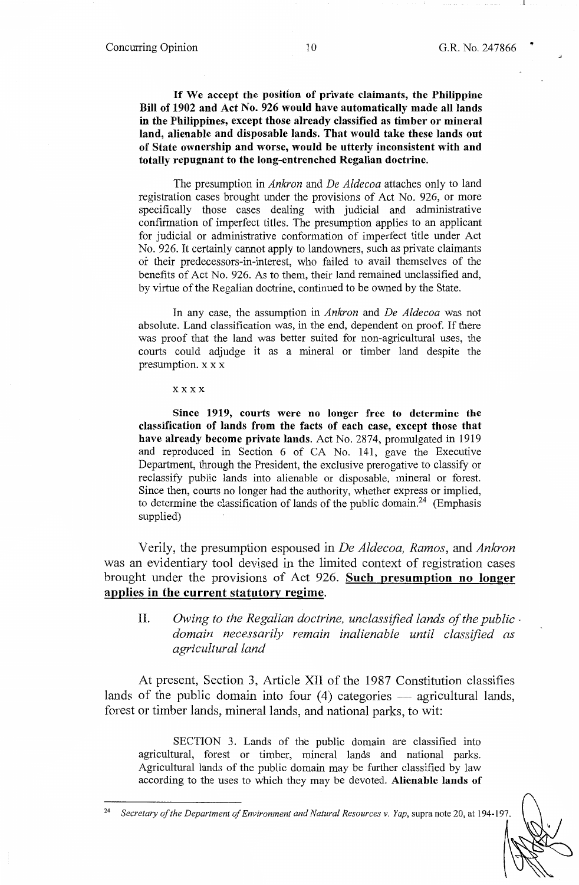If **We accept the position of private claimants, the Philippine Bill of 1902 and Act No. 926 would have automatically made all lands in the Philippines, except those already classified as timber or mineral land, alienable and disposable lands. That would take these lands out of State ownership and worse, would be utterly inconsistent with and totally repugnant to the long-entrenched Regalian doctrine.** 

The presumption in *Ankron* and *De Aldecoa* attaches only to land registration cases brought under the provisions of Act No. 926, or more specifically those cases dealing with judicial and administrative confirmation of imperfect titles. The presumption applies to an applicant for judicial or administrative conformation of imperfect title under Act No. 926. It certainly cannot apply to landowners, such as private claimants or their predecessors-in-interest, who failed to avail themselves of the benefits of Act No. 926. As to them, their land remained unclassified and, by virtue of the Regalian doctrine, continued to be owned by the State.

In any case, the assumption in *Ankron* and *De Aldecoa* was not absolute. Land classification was, in the end, dependent on proof. If there was proof that the land was better suited for non-agricultural uses, the courts could adjudge it as a mineral or timber land despite the presumption. x x x

### xxxx

**Since 1919, courts were no longer free to determine the classification of lands from the facts of each case, except those that have already become private lands.** Act No. 2874, promulgated in 1919 and reproduced in Section 6 of CA No. 141, gave the Executive Department, through the President, the exclusive prerogative to classify or reclassify public lands into alienable or disposable, mineral or forest. Since then, courts no longer had the authority, whether express or implied, to determine the classification of lands of the public domain.<sup>24</sup> (Emphasis supplied)

Verily, the presumption espoused in *De Aldecoa, Ramos,* and *Ankron*  was an evidentiary tool devised in the limited context of registration cases brought under the provisions of Act 926. **Such presumption no longer applies in the current statutory regime.** 

II. *Owing to the Regalian doctrine, unclassified lands of the public• domain necessarily remain inalienable until classified as agricultural land* 

At present, Section 3, Article XII of the 1987 Constitution classifies lands of the public domain into four  $(4)$  categories — agricultural lands, forest or timber lands, mineral lands, and national parks, to wit:

SECTION 3. Lands of the public domain are classified into agricultural, forest or timber, mineral lands and national parks. Agricultural lands of the public domain may be further classified by law according to the uses to which they may be devoted. **Alienable lands of** 

<sup>24</sup>*Secretary of the Department of Environment and Natural Resources v. Yap,* supra note 20, at 194-197.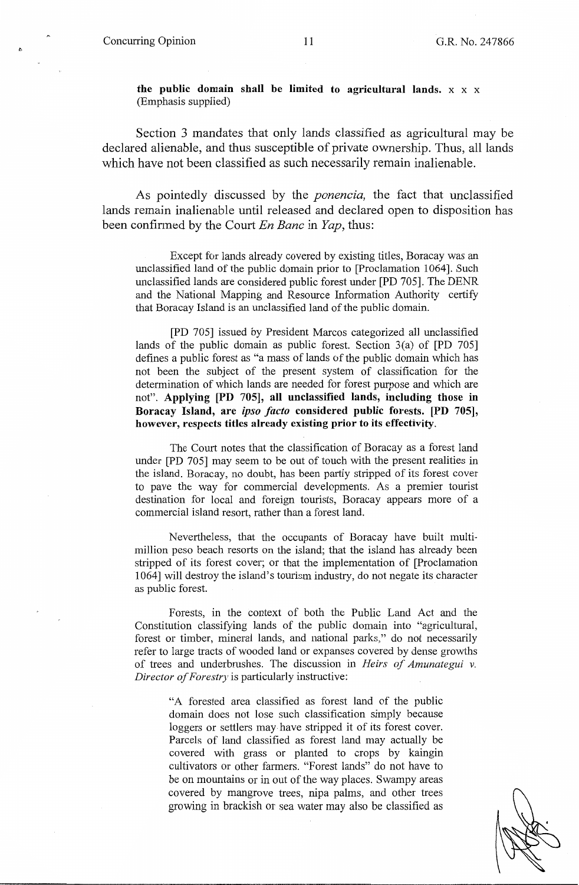## **the public domain shall be limited to agricultural lands.** x x x (Emphasis supplied)

Section 3 mandates that only lands classified as agricultural may be declared alienable, and thus susceptible of private ownership. Thus, all lands which have not been classified as such necessarily remain inalienable.

As pointedly discussed by the *ponencia,* the fact that unclassified lands remain inalienable until released and declared open to disposition has been confirmed by the Court *En Banc* in *Yap,* thus:

Except for lands already covered by existing titles, Boracay was an unclassified land of the public domain prior to [Proclamation 1064]. Such unclassified lands are considered public forest under [PD 705]. The DENR and the National Mapping and Resource Information Authority certify that Boracay Island is an unclassified land of the public domain.

[PD 705] issued by President Marcos categorized all unclassified lands of the public domain as public forest. Section 3(a) of [PD 705] defines a public forest as "a mass of lands of the public domain which has not been the subject of the present system of classification for the determination of which lands are needed for forest purpose and which are not". **Applying [PD 705], all unclassified lands, including those in Boracay Island, are** *ipso facto* **considered public forests. [PD 705], however, respects titles already existing prior to its effectivity.** 

The Court notes that the classification of Boracay as a forest land under [PD 705] may seem to be out of touch with the present realities in the island. Boracay, no doubt, has been partly stripped of its forest cover to pave the way for commercial developments. As a premier tourist destination for local and foreign tourists, Boracay appears more of a commercial island resort, rather than a forest land.

Nevertheless, that the occupants of Boracay have built multimillion peso beach resorts on the island; that the island has already been stripped of its forest cover; or that the implementation of [Proclamation 1064] will destroy the island's tourism industry, do not negate its character as public forest.

Forests, in the context of both the Public Land Act and the Constitution classifying lands of the public domain into "agricultural, forest or timber, mineral lands, and national parks," do not necessarily refer to large tracts of wooded land or expanses covered by dense growths of trees and underbrushes. The discussion in *Heirs of Amunategui v. Director of Forestry* is particularly instructive:

"A forested area classified as forest land of the public domain does not lose such classification simply because loggers or settlers may have stripped it of its forest cover. Parcels of land classified as forest land may actually be covered with grass or planted to crops by kaingin cultivators or other farmers. "Forest lands" do not have to be on mountains or in out of the way places. Swampy areas covered by mangrove trees, nipa palms, and other trees growing in brackish or sea water may also be classified as

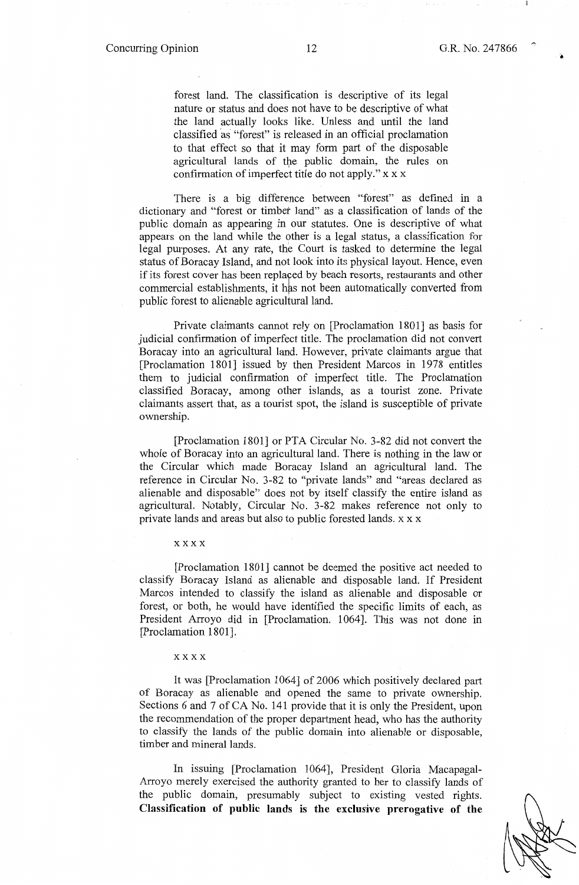forest land. The classification is descriptive of its legal nature or status and does not have to be descriptive of what the land actually looks like. Unless and until the land classified as "forest" is released in an official proclamation to that effect so that it may form part of the disposable agricultural lands of the public domain, the rules on confirmation of imperfect title do not apply." x x x

There is a big difference between "forest" as defined in a dictionary and "forest or timbet land" as a classification of lands of the public domain as appearing in our statutes. One is descriptive of what appears on the land while the other is a legal status, a classification for legal purposes. At any rate, the Court is tasked to determine the legal status of Boracay Island, and not look into its physical layout. Hence, even if its forest cover has been replaced by beach resorts, restaurants and other commercial establishments, it has not been automatically converted from public forest to alienable agricultural land.

Private claimants cannot rely on [Proclamation 1801] as basis for judicial confirmation of imperfect title. The proclamation did not convert Boracay into an agricultural land. However, private claimants argue that [Proclamation 1801] issued by then President Marcos in 1978 entitles them to judicial confirmation of imperfect title. The Proclamation classified Boracay, among other islands, as a tourist zone. Private claimants assert that, as a tourist spot, the island is susceptible of private ownership.

[Proclamation 1801] or PTA Circular No. 3-82 did not convert the whole of Boracay into an agricultural land. There is nothing in the law or the Circular which made Boracay Island an agricultural land. The reference in Circular No. 3-82 to "private lands" and "areas declared as alienable and disposable" does not by itself classify the entire island as agricultural. Notably, Circular No. 3-82 makes reference not only to private lands and areas but also to public forested lands. x x x

#### **xxxx**

[Proclamation 1801] cannot be deemed the positive act needed to classify Boracay Island as alienable and disposable land. If President Marcos intended to classify the island as alienable and disposable or forest, or both, he would have identified the specific limits of each, as President Arroyo did in [Proclamation. 1064]. This was not done in [Proclamation 1801].

#### **xxxx**

It was [Proclamation 1064] of 2006 which positively declared part of Boracay as alienable and opened the same to private ownership. Sections 6 and 7 of CA No. 141 provide that it is only the President, upon the recommendation of the proper department head, who has the authority to classify the lands of the public domain into alienable or disposable, timber and mineral lands.

In issuing [Proclamation 1064], President Gloria Macapagal-Arroyo merely exercised the authority granted to her to classify lands of the public domain, presumably subject to existing vested rights. **Classification of public lands is the exclusive prerogative of the**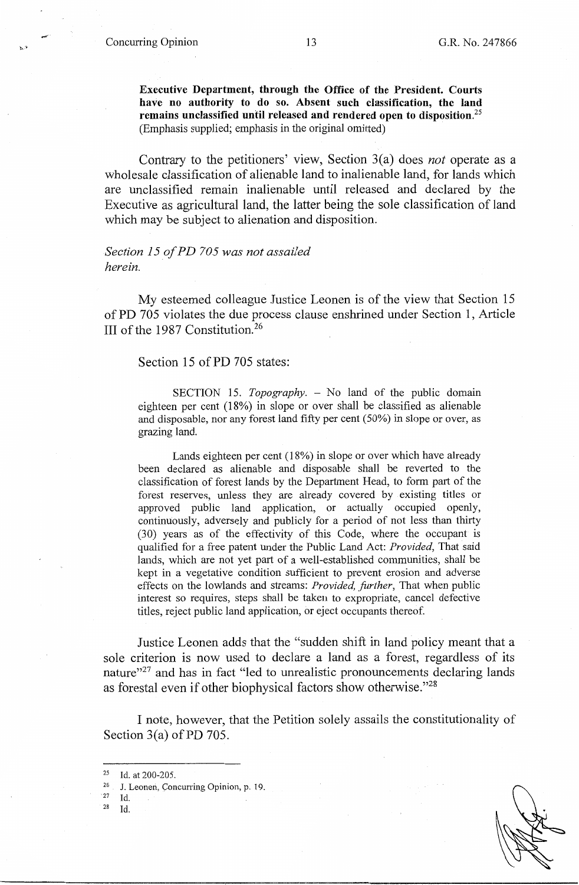**Executive Department, through the Office of the President. Courts have no authority to do so. Absent such classification, the land remains unclassified until released and rendered open to disposition. <sup>25</sup>** (Emphasis supplied; emphasis in the original omitted)

Contrary to the petitioners' view, Section 3(a) does *not* operate as a wholesale classification of alienable land to inalienable land, for lands which are unclassified remain inalienable until released and declared by the Executive as agricultural land, the latter being the sole classification of land which may be subject to alienation and disposition.

# *Section 15 of PD 705 was not assailed herein.*

My esteemed colleague Justice Leonen is of the view that Section 15 of PD 705 violates the due process clause enshrined under Section 1, Article III of the 1987 Constitution.26

# Section 15 of PD 705 states:

SECTION 15. *Topography*. - No land of the public domain eighteen per cent (18%) in slope or over shall be classified as alienable and disposable, nor any forest land fifty per cent (50%) in slope or over, as grazing land.

Lands eighteen per cent (18%) in slope or over which have already been declared as alienable and disposable shall be reverted to the classification of forest lands by the Department Head, to form part of the forest reserves, unless they are already covered by existing titles or approved public land application, or actually occupied openly, continuously, adversely and publicly for a period of not less than thirty (30) years as of the effectivity of this Code, where the occupant is qualified for a free patent under the Public Land Act: *Provided,* That said lands, which are not yet part of a well-established communities, shall be kept in a vegetative condition sufficient to prevent erosion and adverse effects on the lowlands and streams: *Provided, further,* That when public interest so requires, steps shall be taken to expropriate, cancel defective titles, reject public land application, or eject occupants thereof.

Justice Leonen adds that the "sudden shift in land policy meant that a sole criterion is now used to declare a land as a forest, regardless of its nature<sup>"27</sup> and has in fact "led to unrealistic pronouncements declaring lands as forestal even if other biophysical factors show otherwise."<sup>28</sup>

I note, however, that the Petition solely assails the constitutionality of Section 3(a) of PD 705.

*<sup>21</sup>*Id.

2s Id.

<sup>&</sup>lt;sup>25</sup> Id. at 200-205.<br><sup>26</sup> J. Leonen, Concurring Opinion, p. 19.<br><sup>27</sup> Id